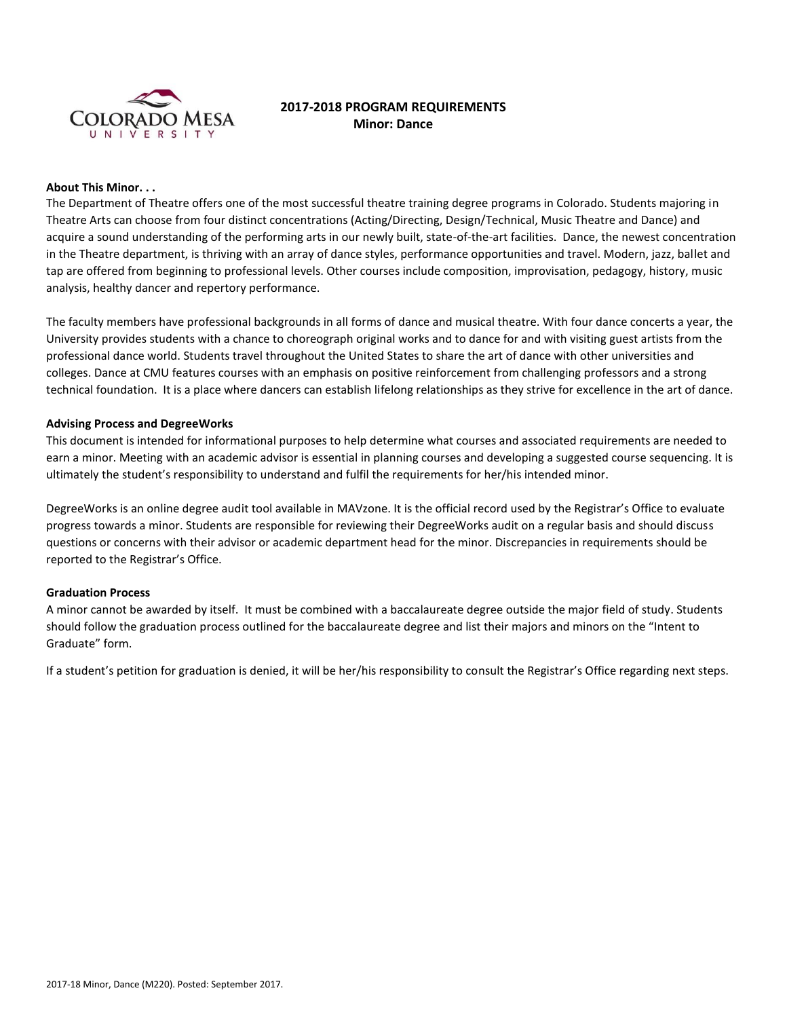

# **2017-2018 PROGRAM REQUIREMENTS Minor: Dance**

### **About This Minor. . .**

The Department of Theatre offers one of the most successful theatre training degree programs in Colorado. Students majoring in Theatre Arts can choose from four distinct concentrations (Acting/Directing, Design/Technical, Music Theatre and Dance) and acquire a sound understanding of the performing arts in our newly built, state-of-the-art facilities. Dance, the newest concentration in the Theatre department, is thriving with an array of dance styles, performance opportunities and travel. Modern, jazz, ballet and tap are offered from beginning to professional levels. Other courses include composition, improvisation, pedagogy, history, music analysis, healthy dancer and repertory performance.

The faculty members have professional backgrounds in all forms of dance and musical theatre. With four dance concerts a year, the University provides students with a chance to choreograph original works and to dance for and with visiting guest artists from the professional dance world. Students travel throughout the United States to share the art of dance with other universities and colleges. Dance at CMU features courses with an emphasis on positive reinforcement from challenging professors and a strong technical foundation. It is a place where dancers can establish lifelong relationships as they strive for excellence in the art of dance.

#### **Advising Process and DegreeWorks**

This document is intended for informational purposes to help determine what courses and associated requirements are needed to earn a minor. Meeting with an academic advisor is essential in planning courses and developing a suggested course sequencing. It is ultimately the student's responsibility to understand and fulfil the requirements for her/his intended minor.

DegreeWorks is an online degree audit tool available in MAVzone. It is the official record used by the Registrar's Office to evaluate progress towards a minor. Students are responsible for reviewing their DegreeWorks audit on a regular basis and should discuss questions or concerns with their advisor or academic department head for the minor. Discrepancies in requirements should be reported to the Registrar's Office.

### **Graduation Process**

A minor cannot be awarded by itself. It must be combined with a baccalaureate degree outside the major field of study. Students should follow the graduation process outlined for the baccalaureate degree and list their majors and minors on the "Intent to Graduate" form.

If a student's petition for graduation is denied, it will be her/his responsibility to consult the Registrar's Office regarding next steps.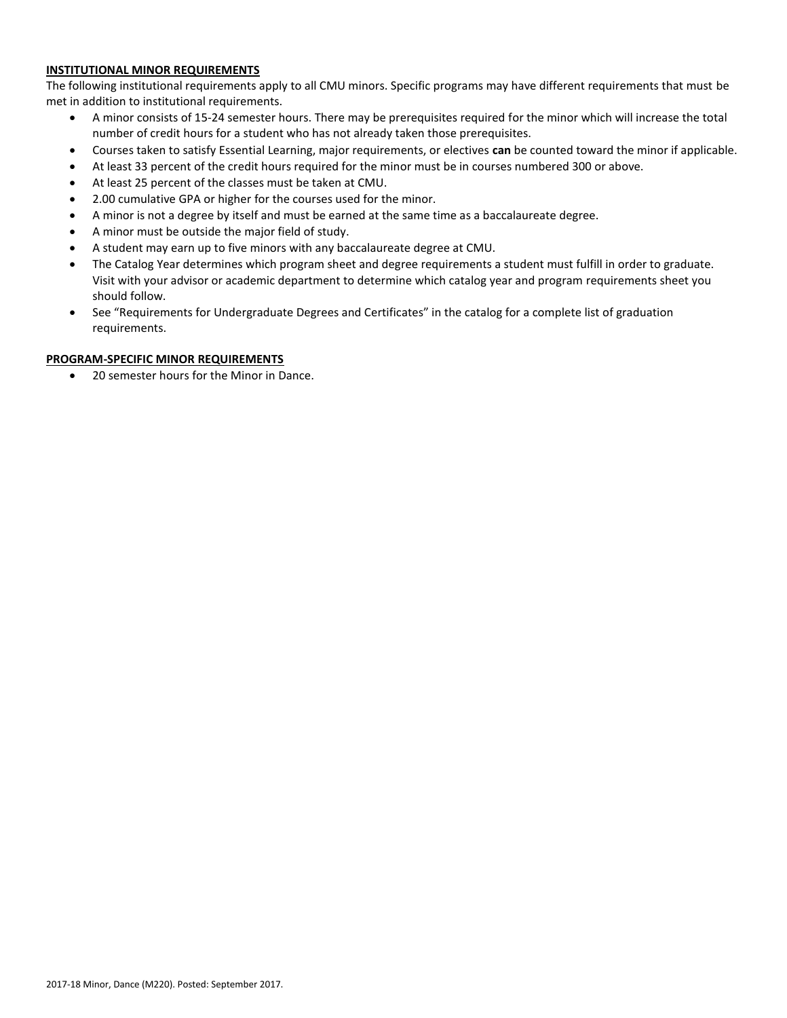## **INSTITUTIONAL MINOR REQUIREMENTS**

The following institutional requirements apply to all CMU minors. Specific programs may have different requirements that must be met in addition to institutional requirements.

- A minor consists of 15-24 semester hours. There may be prerequisites required for the minor which will increase the total number of credit hours for a student who has not already taken those prerequisites.
- Courses taken to satisfy Essential Learning, major requirements, or electives **can** be counted toward the minor if applicable.
- At least 33 percent of the credit hours required for the minor must be in courses numbered 300 or above.
- At least 25 percent of the classes must be taken at CMU.
- 2.00 cumulative GPA or higher for the courses used for the minor.
- A minor is not a degree by itself and must be earned at the same time as a baccalaureate degree.
- A minor must be outside the major field of study.
- A student may earn up to five minors with any baccalaureate degree at CMU.
- The Catalog Year determines which program sheet and degree requirements a student must fulfill in order to graduate. Visit with your advisor or academic department to determine which catalog year and program requirements sheet you should follow.
- See "Requirements for Undergraduate Degrees and Certificates" in the catalog for a complete list of graduation requirements.

## **PROGRAM-SPECIFIC MINOR REQUIREMENTS**

20 semester hours for the Minor in Dance.